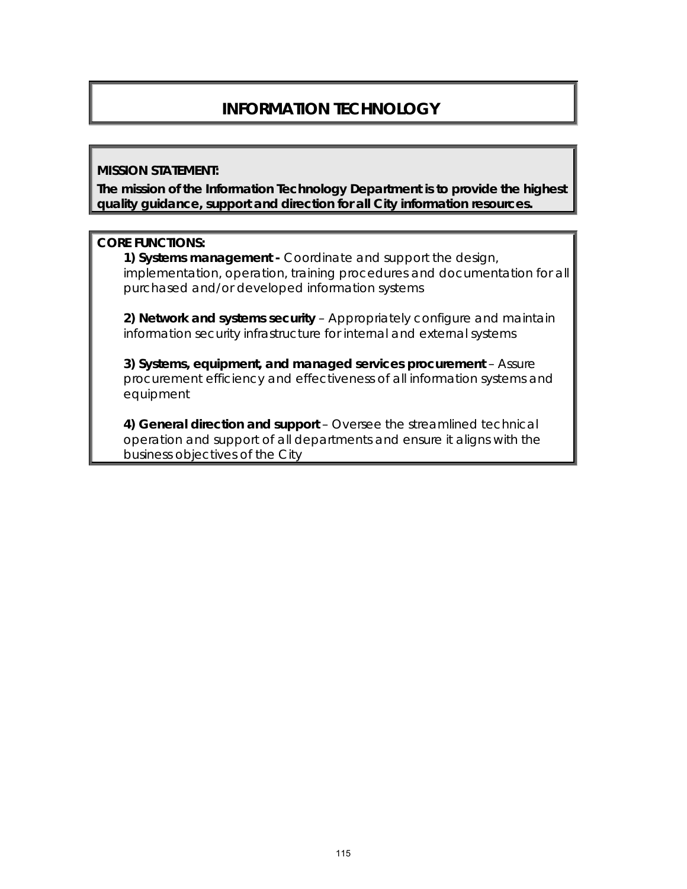# **INFORMATION TECHNOLOGY**

#### **MISSION STATEMENT:**

**The mission of the Information Technology Department is to provide the highest quality guidance, support and direction for all City information resources.** 

#### **CORE FUNCTIONS:**

**1) Systems management -** Coordinate and support the design, implementation, operation, training procedures and documentation for all purchased and/or developed information systems

**2) Network and systems security** – Appropriately configure and maintain information security infrastructure for internal and external systems

**3) Systems, equipment, and managed services procurement** – Assure procurement efficiency and effectiveness of all information systems and equipment

**4) General direction and support** – Oversee the streamlined technical operation and support of all departments and ensure it aligns with the business objectives of the City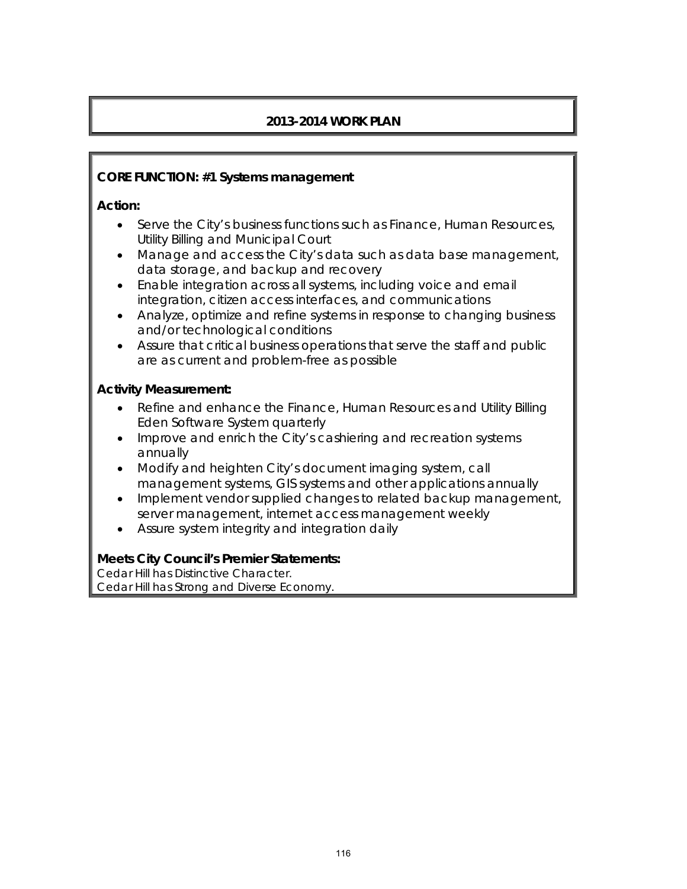# **2013-2014 WORK PLAN**

#### **CORE FUNCTION: #1 Systems management**

#### **Action:**

- Serve the City's business functions such as Finance, Human Resources, Utility Billing and Municipal Court
- Manage and access the City's data such as data base management, data storage, and backup and recovery
- Enable integration across all systems, including voice and email integration, citizen access interfaces, and communications
- Analyze, optimize and refine systems in response to changing business and/or technological conditions
- Assure that critical business operations that serve the staff and public are as current and problem-free as possible

#### **Activity Measurement:**

- Refine and enhance the Finance, Human Resources and Utility Billing Eden Software System quarterly
- Improve and enrich the City's cashiering and recreation systems annually
- Modify and heighten City's document imaging system, call management systems, GIS systems and other applications annually
- Implement vendor supplied changes to related backup management, server management, internet access management weekly
- Assure system integrity and integration daily

#### **Meets City Council's Premier Statements:**

Cedar Hill has Distinctive Character. Cedar Hill has Strong and Diverse Economy.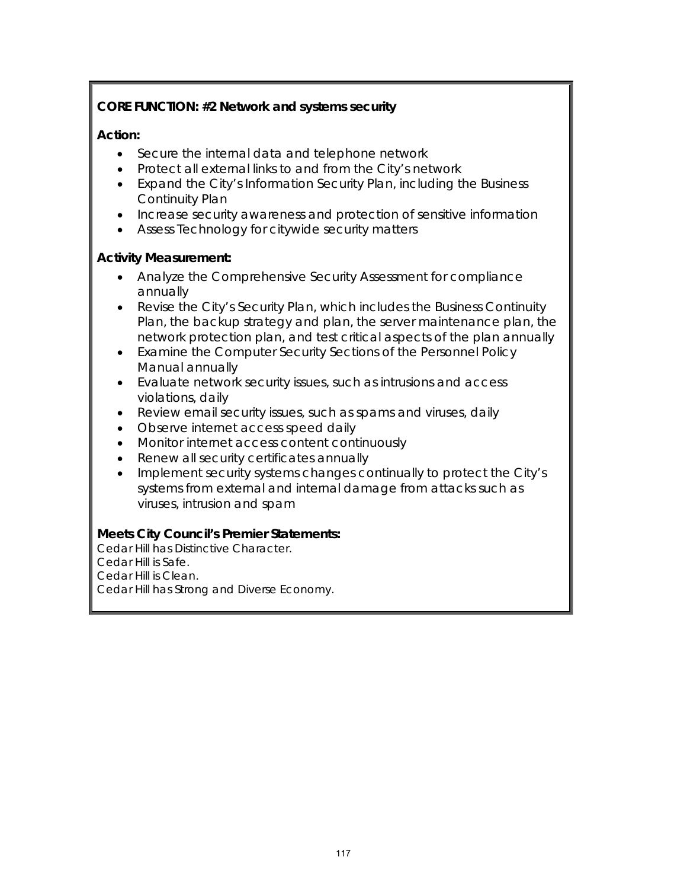# **CORE FUNCTION: #2 Network and systems security**

#### **Action:**

- Secure the internal data and telephone network
- Protect all external links to and from the City's network
- Expand the City's Information Security Plan, including the Business Continuity Plan
- Increase security awareness and protection of sensitive information
- Assess Technology for citywide security matters

## **Activity Measurement:**

- Analyze the Comprehensive Security Assessment for compliance annually
- Revise the City's Security Plan, which includes the Business Continuity Plan, the backup strategy and plan, the server maintenance plan, the network protection plan, and test critical aspects of the plan annually
- Examine the Computer Security Sections of the Personnel Policy Manual annually
- Evaluate network security issues, such as intrusions and access violations, daily
- Review email security issues, such as spams and viruses, daily
- Observe internet access speed daily
- Monitor internet access content continuously
- Renew all security certificates annually
- Implement security systems changes continually to protect the City's systems from external and internal damage from attacks such as viruses, intrusion and spam

# **Meets City Council's Premier Statements:**

Cedar Hill has Distinctive Character. Cedar Hill is Safe. Cedar Hill is Clean. Cedar Hill has Strong and Diverse Economy.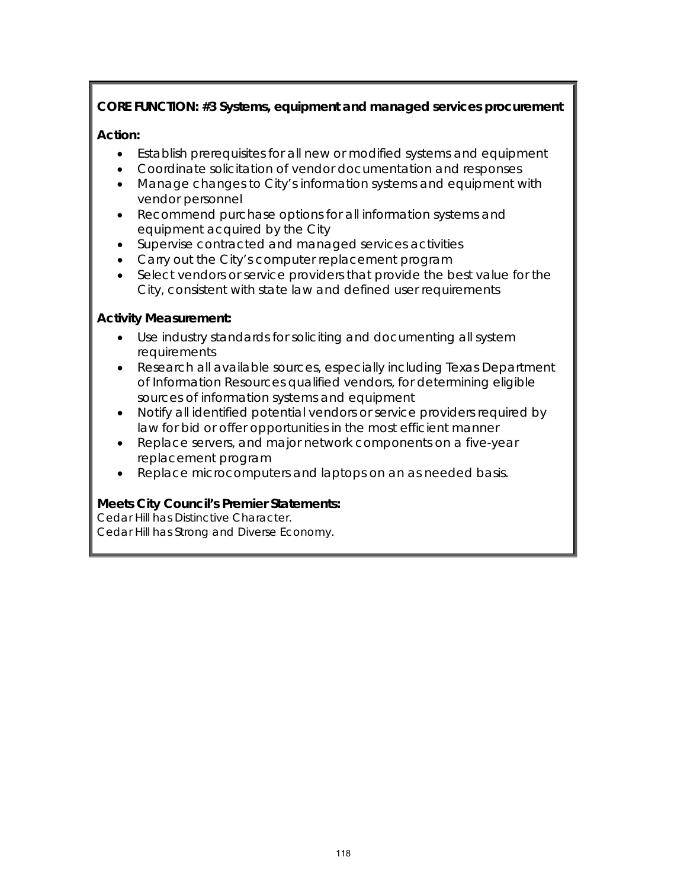# **CORE FUNCTION: #3 Systems, equipment and managed services procurement**

# **Action:**

- Establish prerequisites for all new or modified systems and equipment
- Coordinate solicitation of vendor documentation and responses
- Manage changes to City's information systems and equipment with vendor personnel
- Recommend purchase options for all information systems and equipment acquired by the City
- Supervise contracted and managed services activities
- Carry out the City's computer replacement program
- Select vendors or service providers that provide the best value for the City, consistent with state law and defined user requirements

## **Activity Measurement:**

- Use industry standards for soliciting and documenting all system requirements
- Research all available sources, especially including Texas Department of Information Resources qualified vendors, for determining eligible sources of information systems and equipment
- Notify all identified potential vendors or service providers required by law for bid or offer opportunities in the most efficient manner
- Replace servers, and major network components on a five-year replacement program
- Replace microcomputers and laptops on an as needed basis.

# **Meets City Council's Premier Statements:**

Cedar Hill has Distinctive Character. Cedar Hill has Strong and Diverse Economy.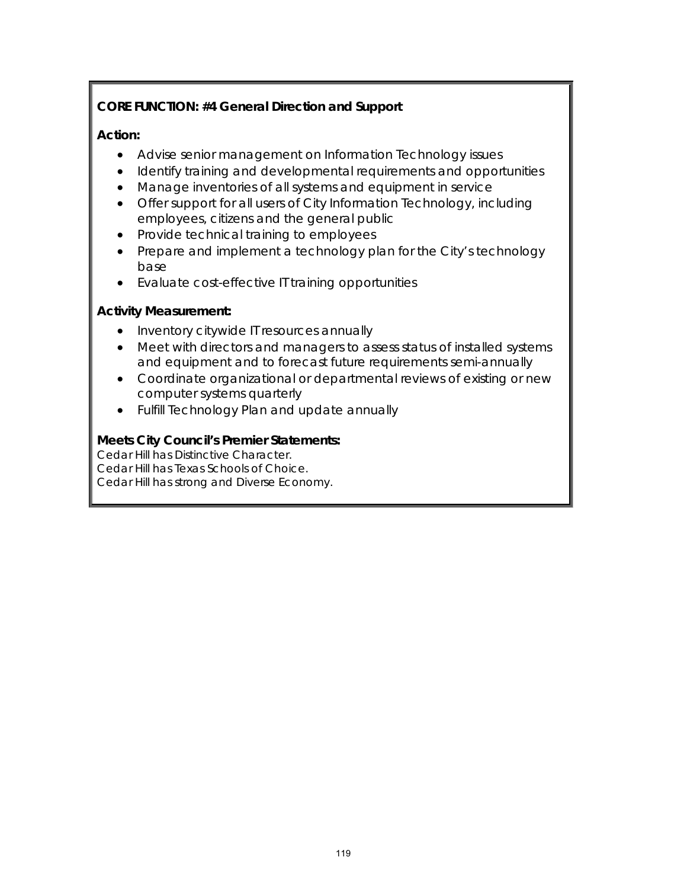# **CORE FUNCTION: #4 General Direction and Support**

## **Action:**

- Advise senior management on Information Technology issues
- Identify training and developmental requirements and opportunities
- Manage inventories of all systems and equipment in service
- Offer support for all users of City Information Technology, including employees, citizens and the general public
- Provide technical training to employees
- Prepare and implement a technology plan for the City's technology base
- Evaluate cost-effective IT training opportunities

## **Activity Measurement:**

- Inventory citywide IT resources annually
- Meet with directors and managers to assess status of installed systems and equipment and to forecast future requirements semi-annually
- Coordinate organizational or departmental reviews of existing or new computer systems quarterly
- Fulfill Technology Plan and update annually

# **Meets City Council's Premier Statements:**

Cedar Hill has Distinctive Character. Cedar Hill has Texas Schools of Choice. Cedar Hill has strong and Diverse Economy.